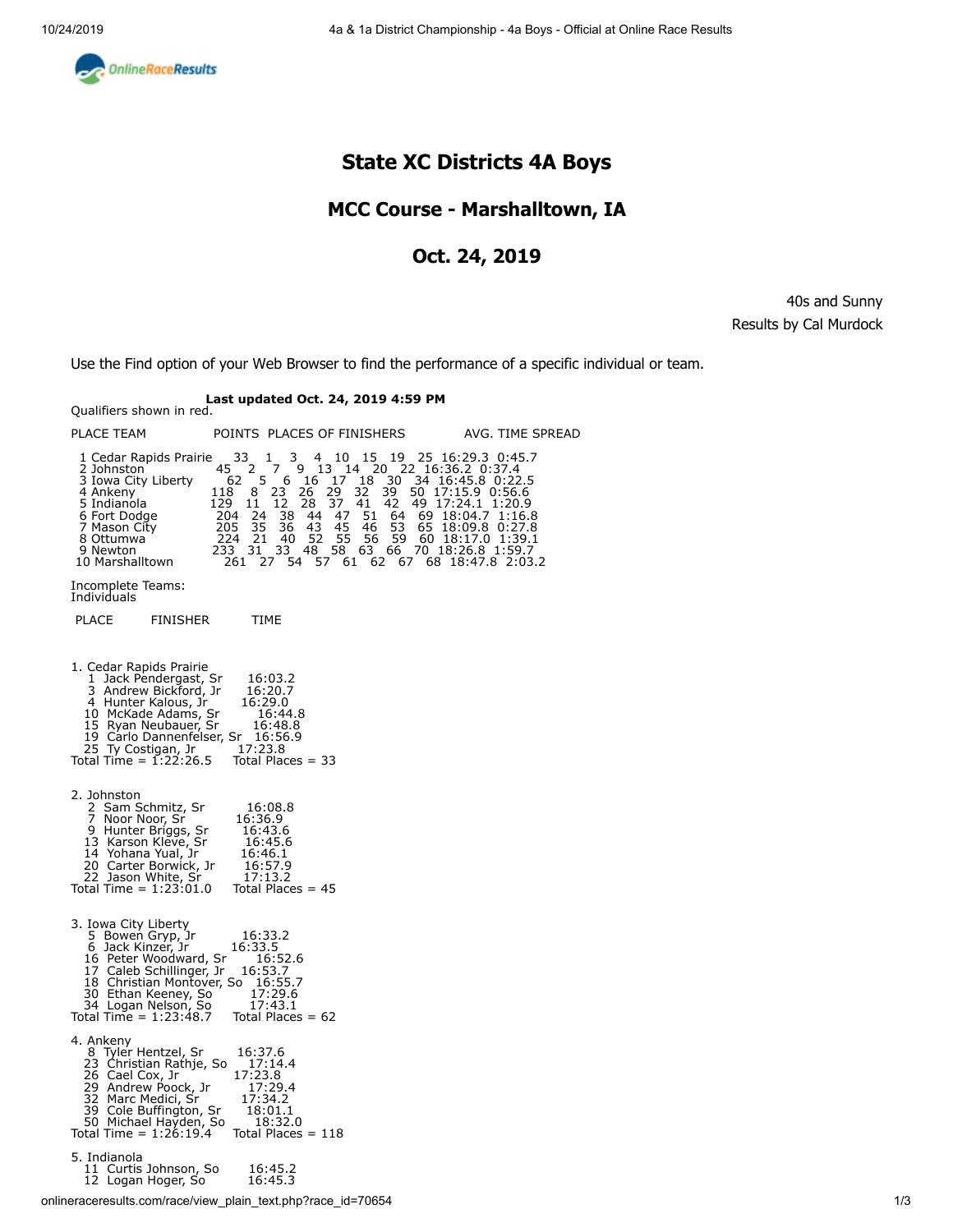<span id="page-0-0"></span>

## **State XC Districts 4A Boys**

### **MCC Course - Marshalltown, IA**

### **Oct. 24, 2019**

40s and Sunny Results by Cal Murdock

Use the Find option of your Web Browser to find the performance of a specific individual or team.

# **Last updated Oct. 24, 2019 4:59 PM** Qualifiers shown in red.

| PLACE TEAM                                                                                                                                                                                                                           | POINTS PLACES OF FINISHERS                                                                                                                                                                                                                                                                                                                                                                                                                      | AVG. TIME SPREAD                                                                                                                                                                                                    |
|--------------------------------------------------------------------------------------------------------------------------------------------------------------------------------------------------------------------------------------|-------------------------------------------------------------------------------------------------------------------------------------------------------------------------------------------------------------------------------------------------------------------------------------------------------------------------------------------------------------------------------------------------------------------------------------------------|---------------------------------------------------------------------------------------------------------------------------------------------------------------------------------------------------------------------|
| 1 Cedar Rapids Prairie<br>2 Johnston<br>3 Iowa City Liberty<br>4 Ankeny<br>5 Indianola<br>6 Fort Dodge<br>7 Mason City<br>8 Ottumwa<br>9 Newton<br>10 Marshalltown                                                                   | 3<br>15<br>33<br>4 10<br>$\mathbf{1}$<br>45<br>2<br>7<br>9<br>13<br>14<br>-20<br>5<br>$30^\circ$<br>6<br>- 16<br>17<br>18<br>62<br>23<br>39<br>8<br>26<br>29<br>32<br>118<br>37<br>42<br>129<br>12<br>28<br>41<br>11<br>204<br>24<br>38<br>44<br>47<br>51<br>64<br>35<br>43<br>45<br>53<br>205<br>36<br>46<br>59<br>52<br>55<br>56<br>224<br>-21<br>- 40<br>33<br>58<br>63<br>66<br>233<br>31<br>-48<br>54<br>57<br>62<br>67<br>261<br>27<br>61 | 19 25 16:29.3 0:45.7<br>22 16:36.2 0:37.4<br>0 34 16:45.8 0:22.5<br>50 17:15.9 0:56.6<br>49 17:24.1 1:20.9<br>69 18:04.7 1:16.8<br>65 18:09.8 0:27.8<br>60 18:17.0 1:39.1<br>70 18:26.8 1:59.7<br>68 18:47.8 2:03.2 |
| Incomplete Teams:<br>Individuals                                                                                                                                                                                                     |                                                                                                                                                                                                                                                                                                                                                                                                                                                 |                                                                                                                                                                                                                     |
| <b>PLACE</b><br>FINISHER                                                                                                                                                                                                             | TIME                                                                                                                                                                                                                                                                                                                                                                                                                                            |                                                                                                                                                                                                                     |
| 1. Cedar Rapids Prairie<br>Jack Pendergast, Sr<br>Andrew Bickford, Jr<br>1<br>3<br>4 Hunter Kalous, Jr<br>10 McKade Adams, Sr<br>15 Ryan Neubauer, Sr<br>19 Carlo Dannenfelser, Sr<br>25 Ty Costigan, Jr<br>Total Time = $1:22:26.5$ | 16:03.2<br>16:20.7<br>16:29.0<br>16:44.8<br>16:48.8<br>16:56.9<br>17:23.8<br>Total Places $=$ 33                                                                                                                                                                                                                                                                                                                                                |                                                                                                                                                                                                                     |
| 2. Johnston<br>2 Sam Schmitz, Sr<br>7 Noor Noor, Sr<br>9 Hunter Briggs, Sr<br>13 Karson Kleve, Sr<br>14 Yohana Yual, Jr<br>20 Carter Borwick, Jr<br>22 Jason White, Sr<br>Total Time = $1:23:01.0$                                   | 16:08.8<br>16:36.9<br>16:43.6<br>16:45.6<br>16:46.1<br>16:57.9<br>17:13.2<br>Total Places $= 45$                                                                                                                                                                                                                                                                                                                                                |                                                                                                                                                                                                                     |
| 3. Iowa City Liberty<br>5 Bowen Gryp, Jr<br>6 Jack Kinzer, Jr<br>16 Peter Woodward, Sr<br>17 Caleb Schillinger, Jr<br>18 Christian Montover, So 16:55.7<br>30 Ethan Keeney, So<br>34 Logan Nelson, So<br>Total Time = $1:23:48.7$    | 16:33.2<br>16:33.5<br>16:52.6<br>16:53.7<br>17:29.6<br>17:43.1<br>Total Places $= 62$                                                                                                                                                                                                                                                                                                                                                           |                                                                                                                                                                                                                     |
| 4. Ankeny<br>8 Tyler Hentzel, Sr<br>23 Christian Rathje, So<br>26 Cael Cox, Jr<br>29 Andrew Poock, Jr<br>32 Marc Medici, Sr<br>39 Cole Buffington, Sr<br>50 Michael Hayden, So<br>Total Time = 1:26:19.4                             | 16:37.6<br>17:14.4<br>17:23.8<br>17:29.4<br>17:34.2<br>18:01.1<br>18:32.0<br>Total Places = $118$                                                                                                                                                                                                                                                                                                                                               |                                                                                                                                                                                                                     |
| 5. Indianola<br>11 Curtis Johnson, So<br>12 Logan Hoger, So                                                                                                                                                                          | 16:45.2<br>16:45.3                                                                                                                                                                                                                                                                                                                                                                                                                              |                                                                                                                                                                                                                     |

onlineraceresults.com/race/view\_plain\_text.php?race\_id=70654 1/3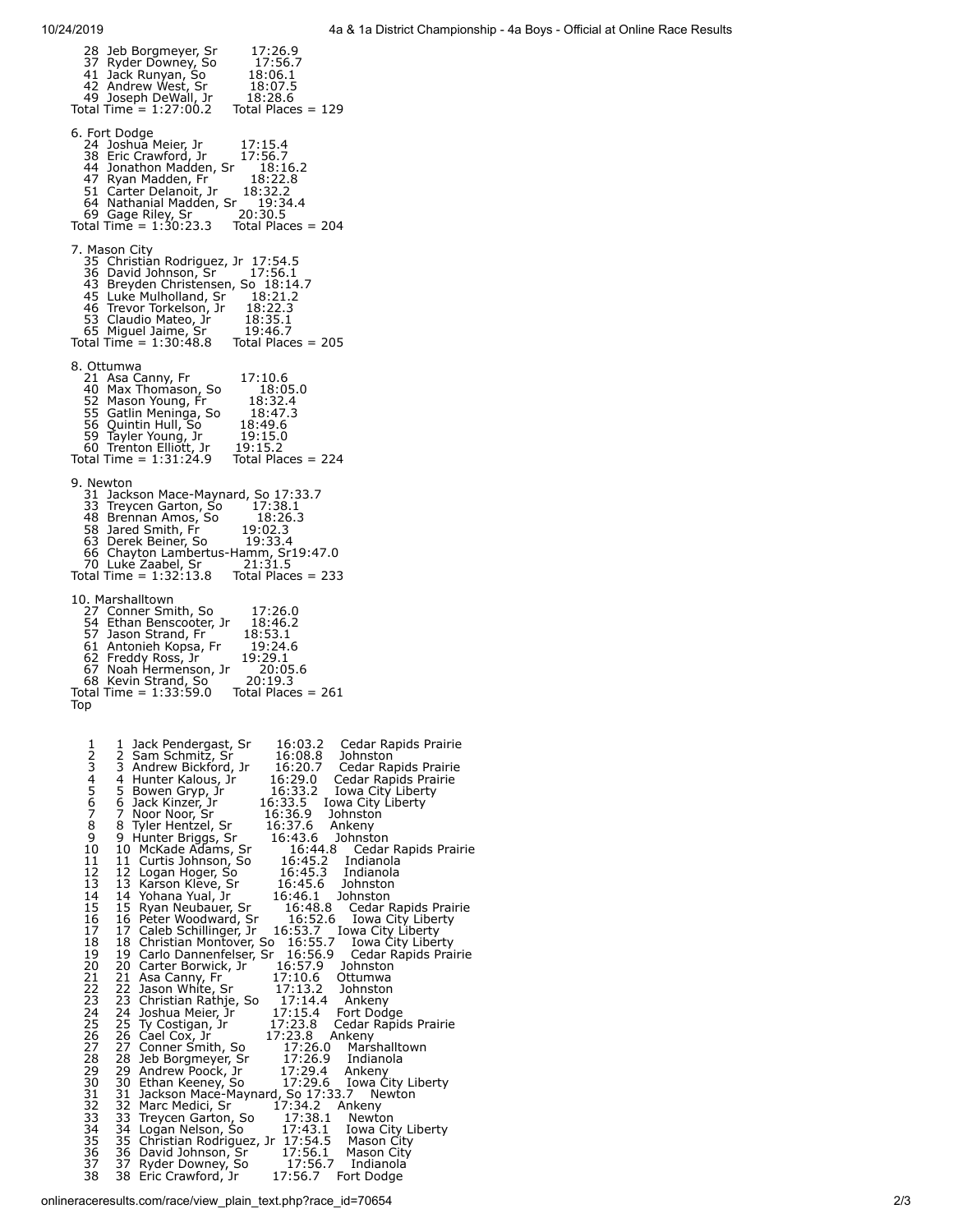<span id="page-1-0"></span>

| 28 Jeb Borgmeyer, Sr<br>17:26.9<br>37 Ryder Downey, So<br>17:56.7<br>41 Jack Runyan, So<br>42 Andrew West, Sr<br>49 Joseph DeWall, Jr<br>18:06.1<br>18:07.5<br>18:28.6<br>Total Time = $1:27:00.2$ Total Places = 129                                                                                                                                                                                                                                                                                                                                                                                                                                                                                                                                                                                                                                                                                                                                                                                                                                                                                                                                                                                                                                                                                                                                                                                                                                                                                                                                                                                                                                                                                                                                                                                                                                                                                                                                                                                                                                                                                                                                                                                                                                              |
|--------------------------------------------------------------------------------------------------------------------------------------------------------------------------------------------------------------------------------------------------------------------------------------------------------------------------------------------------------------------------------------------------------------------------------------------------------------------------------------------------------------------------------------------------------------------------------------------------------------------------------------------------------------------------------------------------------------------------------------------------------------------------------------------------------------------------------------------------------------------------------------------------------------------------------------------------------------------------------------------------------------------------------------------------------------------------------------------------------------------------------------------------------------------------------------------------------------------------------------------------------------------------------------------------------------------------------------------------------------------------------------------------------------------------------------------------------------------------------------------------------------------------------------------------------------------------------------------------------------------------------------------------------------------------------------------------------------------------------------------------------------------------------------------------------------------------------------------------------------------------------------------------------------------------------------------------------------------------------------------------------------------------------------------------------------------------------------------------------------------------------------------------------------------------------------------------------------------------------------------------------------------|
| 6. Fort Dodge<br>17:15.4<br>24 Joshua Meier, Jr<br>38 Eric Crawford, Jr<br>17:56.7<br>38 Eric Crawicia,<br>44 Jonathon Madden, Sr<br>11 December 11<br>18:16.2<br>47 Ryan Madden, Fr 18:22.<br>51 Carter Delanoit, Jr 18:32.2<br>18:22.8<br>64 Nathanial Madden, Sr 19:34.4<br>69 Gage Riley, Sr 20:30.5<br>Total Time = $1:30:23.3$ Total Places = 204                                                                                                                                                                                                                                                                                                                                                                                                                                                                                                                                                                                                                                                                                                                                                                                                                                                                                                                                                                                                                                                                                                                                                                                                                                                                                                                                                                                                                                                                                                                                                                                                                                                                                                                                                                                                                                                                                                            |
| 7. Mason City<br>35 Christian Rodriguez, Jr 17:54.5<br>36 David Johnson, Sr 17:56.1<br>43 Breyden Christensen, So 18:14.7<br>45 Luke Mulholland, Sr 18:21.2<br>46 Trevor Torkelson, Jr 18:22.3<br>53 Claudio Mateo, Jr 18:35.1<br>65 Miguel Jaime, Sr 19:46.7<br>Total Time = 1:30:48.8 Total Places = 205                                                                                                                                                                                                                                                                                                                                                                                                                                                                                                                                                                                                                                                                                                                                                                                                                                                                                                                                                                                                                                                                                                                                                                                                                                                                                                                                                                                                                                                                                                                                                                                                                                                                                                                                                                                                                                                                                                                                                         |
| 8. Ottumwa<br>17:10.6<br>21 Asa Canny, Fr<br>18:05.0<br>40 Max Thomason, So<br>52 Mason Young, Fr<br>18:32.4<br>55 Gatlin Meninga, So<br>56 Quintin Hull, So<br>59 Tayler Young, Jr<br>60 Trenton Elliott, Jr<br>18:47.3<br>356 Quintin Hull, So<br>56 Quintin Hull, So<br>59 Tayler Young, Jr 19:15.0<br>60 Trenton Elliott, Jr 19:15.2<br>Total Time = 1:31:24.9 Total Places = 224                                                                                                                                                                                                                                                                                                                                                                                                                                                                                                                                                                                                                                                                                                                                                                                                                                                                                                                                                                                                                                                                                                                                                                                                                                                                                                                                                                                                                                                                                                                                                                                                                                                                                                                                                                                                                                                                              |
| 9. Newton<br>31 Jackson Mace-Maynard, So 17:33.7<br>33 Treycen Garton, So 17:38.1<br>48 Brennan Amos, So 18:26.3<br>18:26.3<br>58 Jared Smith, Fr<br>63 Derek Beiner, So<br>19:02.3<br>19:33.4<br>66 Chayton Lambertus-Hamm, Sr19:47.0<br>70 Luke Zaabel, Sr 21:31.5<br>Total Time = $1:32:13.8$ Total Places = 233                                                                                                                                                                                                                                                                                                                                                                                                                                                                                                                                                                                                                                                                                                                                                                                                                                                                                                                                                                                                                                                                                                                                                                                                                                                                                                                                                                                                                                                                                                                                                                                                                                                                                                                                                                                                                                                                                                                                                |
| 10. Marshalltown<br>27 Conner Smith, So<br>17:26.0<br>54 Ethan Benscooter, Jr<br>18:46.2<br>57 Jason Strand, Fr<br>61 Antonieh Kopsa, Fr<br>62 Freddy Ross, Jr<br>18:53.1<br>19:24.6<br>19:29.1<br>67 Noah Hermenson, Jr<br>68 Kevin Strand, So<br>20:05.6<br>20:19.3<br>Total Time = $1:33:59.0$ Total Places = 261<br>Top                                                                                                                                                                                                                                                                                                                                                                                                                                                                                                                                                                                                                                                                                                                                                                                                                                                                                                                                                                                                                                                                                                                                                                                                                                                                                                                                                                                                                                                                                                                                                                                                                                                                                                                                                                                                                                                                                                                                        |
| 12345678<br>1<br>Jack Pendergast, Sr<br>16:03.2<br>Cedar Rapids Prairie<br>2<br>3<br>4<br>Sam Schmitz, Sr<br>16:08.8<br>Johnston<br>16:20.7<br>Andrew Bickford, Jr<br>Cedar Rapids Prairie<br>Hunter Kalous, Jr<br>16:29.0<br>Cedar Rapids Prairie<br>$\frac{5}{7}$<br>16:33.2<br>Iowa City Liberty<br>Bowen Gryp, Jr<br>16:33.5<br>Iowa City Liberty<br>Jack Kinzer, Jr<br>Noor Noor, Sr<br>16:36.9<br>Johnston<br>8<br>16:37.6<br>Tyler Hentzel, Sr<br>Ankeny<br>9<br>9 Hunter Briggs, Sr<br>16:43.6<br>Johnston<br>10<br>10 McKade Adams, Sr<br>16:44.8<br>Cedar Rapids Prairie<br>11<br>11 Curtis Johnson, So<br>16:45.2<br>Indianola<br>$\overline{1}\overline{2}$<br>16:45.3<br>12 Logan Hoger, So<br>Indianola<br>13<br>13 Karson Kleve, Sr<br>16:45.6<br>Johnston<br>14 Yohana Yual, Jr<br>14<br>16:46.1<br>Johnston<br>15<br>15 Ryan Neubauer, Sr<br>16:48.8<br>Cedar Rapids Prairie<br>16<br>16<br>16:52.6<br>Peter Woodward, Sr<br>Iowa City Liberty<br>Caleb Schillinger, Jr<br>17<br>17<br>16:53.7<br>Iowa City Liberty<br>16:55.7<br>18<br>18 Christian Montover, So<br>Iowa City Liberty<br>19<br>20<br>19 Carlo Dannenfelser, Sr<br>16:56.9<br>16:57.9<br>Cedar Rapids Prairie<br>20 Carter Borwick, Jr<br>Johnston<br>21<br>21<br>17:10.6<br>Asa Canny, Fr<br>Ottumwa<br>22<br>22<br>Jason White, Sr<br>17:13.2<br>Johnston<br>23<br>23 Christian Rathje, So<br>17:14.4<br>17:15.4<br>Ankeny<br>24<br>24<br>Fort Dodge<br>Joshua Meier, Jr<br>25<br>25<br>17:23.8<br>17:23.8<br>Cedar Rapids Prairie<br>Ty Costigan, Jr<br>26<br>26<br>Cael Cox, Jr<br>Ankeny<br>27<br>27<br>Conner Smith, So<br>17:26.0<br>Marshalltown<br>28 Jeb Borgmeyer, Sr<br>17:26.9<br>28<br>Indianola<br>29<br>29 Andrew Poock, Jr 17:29.4 Ar<br>30 Ethan Keeney, So 17:29.6 Ic<br>31 Jackson Mace-Maynard, So 17:33.7<br>32 Marc Medici, Sr 17:34.2 And<br>Ankeny<br>30<br>Iowa City Liberty<br>332334<br>Newton<br>Ankeny<br>33 Treycen Garton, So<br>34 Logan Nelson, So<br>17:38.1<br>Newton<br>17:43.1<br>Iowa City Liberty<br>35<br>36<br>37<br>38<br>35 Christian Rodriguez, Jr. 17:54.5<br>36 David Johnson, Sr. 17:56.1<br>37 Ryder Downey, So. 17:56.7<br>Mason City<br>Mason City<br>17:56.7<br>Indianola<br>17:56.7<br>38<br>Eric Crawford, Jr<br>Fort Dodge |